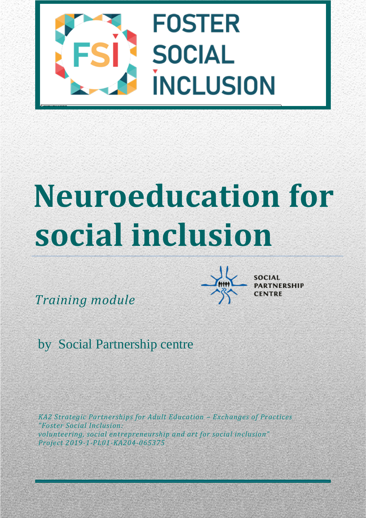

# **Neuroeducation for social inclusion**

*Training module* 



by Social Partnership centre

*KA2 Strategic Partnerships for Adult Education – Exchanges of Practices "Foster Social Inclusion: volunteering, social entrepreneurship and art for social inclusion" Project 2019-1-PL01-KA204-065375*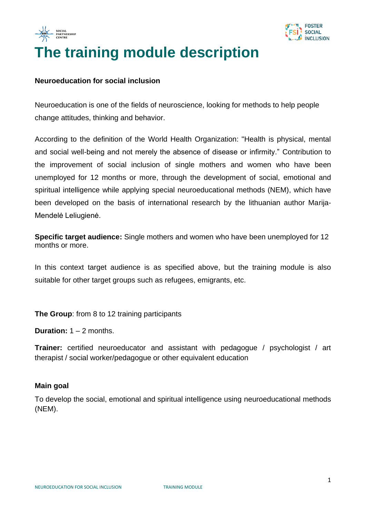



# **The training module description**

#### **Neuroeducation for social inclusion**

Neuroeducation is one of the fields of neuroscience, looking for methods to help people change attitudes, thinking and behavior.

According to the definition of the World Health Organization: "Health is physical, mental and social well-being and not merely the absence of disease or infirmity." Contribution to the improvement of social inclusion of single mothers and women who have been unemployed for 12 months or more, through the development of social, emotional and spiritual intelligence while applying special neuroeducational methods (NEM), which have been developed on the basis of international research by the lithuanian author Marija-Mendelė Leliugienė.

**Specific target audience:** Single mothers and women who have been unemployed for 12 months or more.

In this context target audience is as specified above, but the training module is also suitable for other target groups such as refugees, emigrants, etc.

**The Group**: from 8 to 12 training participants

**Duration:**  $1 - 2$  months.

**Trainer:** certified neuroeducator and assistant with pedagogue / psychologist / art therapist / social worker/pedagogue or other equivalent education

#### **Main goal**

To develop the social, emotional and spiritual intelligence using neuroeducational methods (NEM).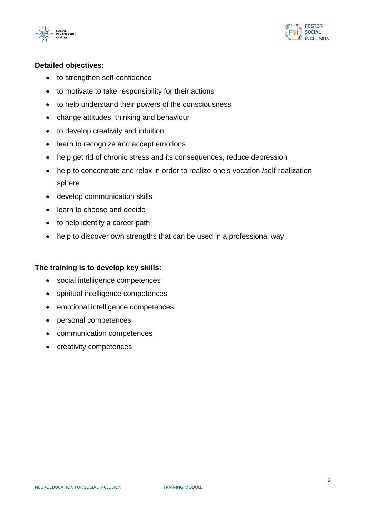



#### **Detailed objectives:**

- to strengthen self-confidence
- to motivate to take responsibility for their actions
- to help understand their powers of the consciousness
- change attitudes, thinking and behaviour
- to develop creativity and intuition
- learn to recognize and accept emotions
- help get rid of chronic stress and its consequences, reduce depression
- help to concentrate and relax in order to realize one's vocation /self-realization sphere
- develop communication skills
- learn to choose and decide
- to help identify a career path
- help to discover own strengths that can be used in a professional way

#### **The training is to develop key skills:**

- social intelligence competences
- spiritual intelligence competences
- emotional intelligence competences
- personal competences
- communication competences
- creativity competences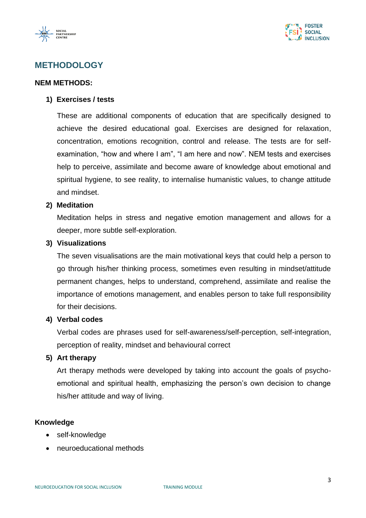



#### **METHODOLOGY**

#### **NEM METHODS:**

#### **1) Exercises / tests**

These are additional components of education that are specifically designed to achieve the desired educational goal. Exercises are designed for relaxation, concentration, emotions recognition, control and release. The tests are for selfexamination, "how and where I am", "I am here and now". NEM tests and exercises help to perceive, assimilate and become aware of knowledge about emotional and spiritual hygiene, to see reality, to internalise humanistic values, to change attitude and mindset.

#### **2) Meditation**

Meditation helps in stress and negative emotion management and allows for a deeper, more subtle self-exploration.

#### **3) Visualizations**

The seven visualisations are the main motivational keys that could help a person to go through his/her thinking process, sometimes even resulting in mindset/attitude permanent changes, helps to understand, comprehend, assimilate and realise the importance of emotions management, and enables person to take full responsibility for their decisions.

#### **4) Verbal codes**

Verbal codes are phrases used for self-awareness/self-perception, self-integration, perception of reality, mindset and behavioural correct

#### **5) Art therapy**

Art therapy methods were developed by taking into account the goals of psychoemotional and spiritual health, emphasizing the person's own decision to change his/her attitude and way of living.

#### **Knowledge**

- self-knowledge
- neuroeducational methods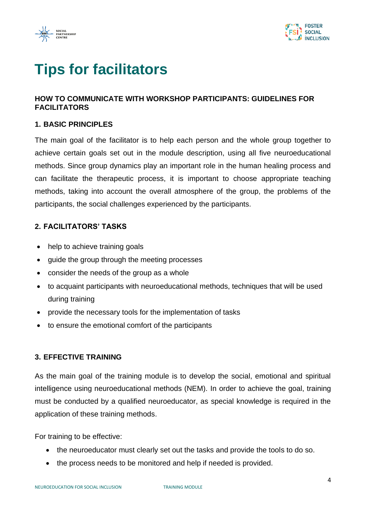



## **Tips for facilitators**

#### **HOW TO COMMUNICATE WITH WORKSHOP PARTICIPANTS: GUIDELINES FOR FACILITATORS**

#### **1. BASIC PRINCIPLES**

The main goal of the facilitator is to help each person and the whole group together to achieve certain goals set out in the module description, using all five neuroeducational methods. Since group dynamics play an important role in the human healing process and can facilitate the therapeutic process, it is important to choose appropriate teaching methods, taking into account the overall atmosphere of the group, the problems of the participants, the social challenges experienced by the participants.

#### **2. FACILITATORS' TASKS**

- help to achieve training goals
- guide the group through the meeting processes
- consider the needs of the group as a whole
- to acquaint participants with neuroeducational methods, techniques that will be used during training
- provide the necessary tools for the implementation of tasks
- to ensure the emotional comfort of the participants

#### **3. EFFECTIVE TRAINING**

As the main goal of the training module is to develop the social, emotional and spiritual intelligence using neuroeducational methods (NEM). In order to achieve the goal, training must be conducted by a qualified neuroeducator, as special knowledge is required in the application of these training methods.

For training to be effective:

- the neuroeducator must clearly set out the tasks and provide the tools to do so.
- the process needs to be monitored and help if needed is provided.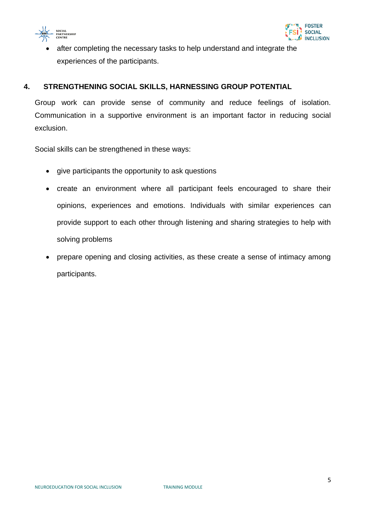



after completing the necessary tasks to help understand and integrate the experiences of the participants.

#### **4. STRENGTHENING SOCIAL SKILLS, HARNESSING GROUP POTENTIAL**

Group work can provide sense of community and reduce feelings of isolation. Communication in a supportive environment is an important factor in reducing social exclusion.

Social skills can be strengthened in these ways:

- give participants the opportunity to ask questions
- create an environment where all participant feels encouraged to share their opinions, experiences and emotions. Individuals with similar experiences can provide support to each other through listening and sharing strategies to help with solving problems
- prepare opening and closing activities, as these create a sense of intimacy among participants.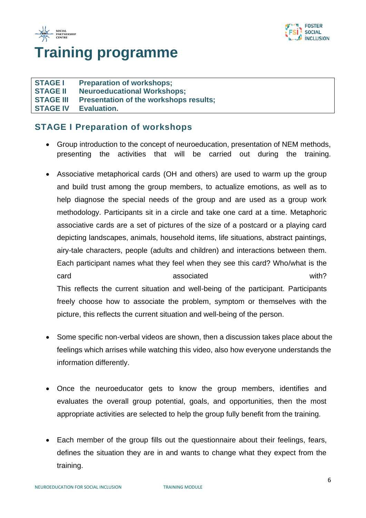



## **Training programme**

**STAGE I Preparation of workshops; STAGE II Neuroeducational Workshops; STAGE III Presentation of the workshops results; STAGE IV Evaluation.**

#### **STAGE I Preparation of workshops**

- Group introduction to the concept of neuroeducation, presentation of NEM methods, presenting the activities that will be carried out during the training.
- Associative metaphorical cards (OH and others) are used to warm up the group and build trust among the group members, to actualize emotions, as well as to help diagnose the special needs of the group and are used as a group work methodology. Participants sit in a circle and take one card at a time. Metaphoric associative cards are a set of pictures of the size of a postcard or a playing card depicting landscapes, animals, household items, life situations, abstract paintings, airy-tale characters, people (adults and children) and interactions between them. Each participant names what they feel when they see this card? Who/what is the card associated associated with? This reflects the current situation and well-being of the participant. Participants freely choose how to associate the problem, symptom or themselves with the picture, this reflects the current situation and well-being of the person.
- Some specific non-verbal videos are shown, then a discussion takes place about the feelings which arrises while watching this video, also how everyone understands the information differently.
- Once the neuroeducator gets to know the group members, identifies and evaluates the overall group potential, goals, and opportunities, then the most appropriate activities are selected to help the group fully benefit from the training.
- Each member of the group fills out the questionnaire about their feelings, fears, defines the situation they are in and wants to change what they expect from the training.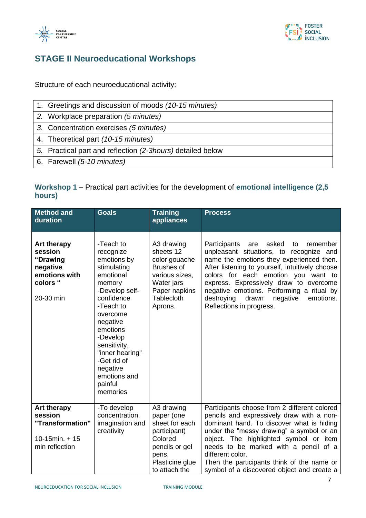



## **STAGE II Neuroeducational Workshops**

Structure of each neuroeducational activity:

| 1. Greetings and discussion of moods (10-15 minutes)       |
|------------------------------------------------------------|
| 2. Workplace preparation (5 minutes)                       |
| 3. Concentration exercises (5 minutes)                     |
| 4. Theoretical part (10-15 minutes)                        |
| 5. Practical part and reflection (2-3hours) detailed below |
| 6. Farewell (5-10 minutes)                                 |

#### **Workshop 1** – Practical part activities for the development of **emotional intelligence (2,5 hours)**

| <b>Method and</b><br>duration                                                                   | <b>Goals</b>                                                                                                                                                                                                                                                                  | <b>Training</b><br>appliances                                                                                                                  | <b>Process</b>                                                                                                                                                                                                                                                                                                                                                                                     |
|-------------------------------------------------------------------------------------------------|-------------------------------------------------------------------------------------------------------------------------------------------------------------------------------------------------------------------------------------------------------------------------------|------------------------------------------------------------------------------------------------------------------------------------------------|----------------------------------------------------------------------------------------------------------------------------------------------------------------------------------------------------------------------------------------------------------------------------------------------------------------------------------------------------------------------------------------------------|
| <b>Art therapy</b><br>session<br>"Drawing<br>negative<br>emotions with<br>colors "<br>20-30 min | -Teach to<br>recognize<br>emotions by<br>stimulating<br>emotional<br>memory<br>-Develop self-<br>confidence<br>-Teach to<br>overcome<br>negative<br>emotions<br>-Develop<br>sensitivity,<br>"inner hearing"<br>-Get rid of<br>negative<br>emotions and<br>painful<br>memories | A3 drawing<br>sheets 12<br>color gouache<br><b>Brushes of</b><br>various sizes,<br>Water jars<br>Paper napkins<br><b>Tablecloth</b><br>Aprons. | Participants<br>asked<br>remember<br>are<br>to<br>unpleasant situations, to recognize and<br>name the emotions they experienced then.<br>After listening to yourself, intuitively choose<br>colors for each emotion you want to<br>express. Expressively draw to overcome<br>negative emotions. Performing a ritual by<br>destroying<br>drawn<br>negative<br>emotions.<br>Reflections in progress. |
| <b>Art therapy</b><br>session<br>"Transformation"<br>$10-15$ min. + 15<br>min reflection        | -To develop<br>concentration,<br>imagination and<br>creativity                                                                                                                                                                                                                | A3 drawing<br>paper (one<br>sheet for each<br>participant)<br>Colored<br>pencils or gel<br>pens,<br>Plasticine glue<br>to attach the           | Participants choose from 2 different colored<br>pencils and expressively draw with a non-<br>dominant hand. To discover what is hiding<br>under the "messy drawing" a symbol or an<br>object. The highlighted symbol or item<br>needs to be marked with a pencil of a<br>different color.<br>Then the participants think of the name or<br>symbol of a discovered object and create a              |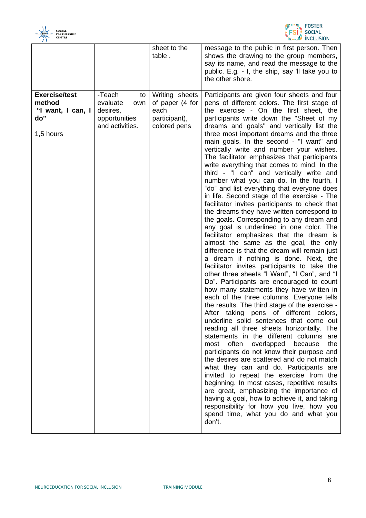



|                                                                         |                                                                                 | sheet to the<br>table.                                                     | message to the public in first person. Then<br>shows the drawing to the group members,<br>say its name, and read the message to the<br>public. E.g. - I, the ship, say 'Il take you to<br>the other shore.                                                                                                                                                                                                                                                                                                                                                                                                                                                                                                                                                                                                                                                                                                                                                                                                                                                                                                                                                                                                                                                                                                                                                                                                                                                                                                                                                                                                                                                                                                                                                                                                                                                                                                                                                                         |
|-------------------------------------------------------------------------|---------------------------------------------------------------------------------|----------------------------------------------------------------------------|------------------------------------------------------------------------------------------------------------------------------------------------------------------------------------------------------------------------------------------------------------------------------------------------------------------------------------------------------------------------------------------------------------------------------------------------------------------------------------------------------------------------------------------------------------------------------------------------------------------------------------------------------------------------------------------------------------------------------------------------------------------------------------------------------------------------------------------------------------------------------------------------------------------------------------------------------------------------------------------------------------------------------------------------------------------------------------------------------------------------------------------------------------------------------------------------------------------------------------------------------------------------------------------------------------------------------------------------------------------------------------------------------------------------------------------------------------------------------------------------------------------------------------------------------------------------------------------------------------------------------------------------------------------------------------------------------------------------------------------------------------------------------------------------------------------------------------------------------------------------------------------------------------------------------------------------------------------------------------|
| <b>Exercise/test</b><br>method<br>"I want, I can, I<br>do"<br>1,5 hours | -Teach<br>to<br>evaluate<br>own<br>desires,<br>opportunities<br>and activities. | Writing sheets<br>of paper (4 for<br>each<br>participant),<br>colored pens | Participants are given four sheets and four<br>pens of different colors. The first stage of<br>the exercise - On the first sheet, the<br>participants write down the "Sheet of my<br>dreams and goals" and vertically list the<br>three most important dreams and the three<br>main goals. In the second - "I want" and<br>vertically write and number your wishes.<br>The facilitator emphasizes that participants<br>write everything that comes to mind. In the<br>third - "I can" and vertically write and<br>number what you can do. In the fourth, I<br>"do" and list everything that everyone does<br>in life. Second stage of the exercise - The<br>facilitator invites participants to check that<br>the dreams they have written correspond to<br>the goals. Corresponding to any dream and<br>any goal is underlined in one color. The<br>facilitator emphasizes that the dream is<br>almost the same as the goal, the only<br>difference is that the dream will remain just<br>a dream if nothing is done. Next, the<br>facilitator invites participants to take the<br>other three sheets "I Want", "I Can", and "I<br>Do". Participants are encouraged to count<br>how many statements they have written in<br>each of the three columns. Everyone tells<br>the results. The third stage of the exercise -<br>After taking pens of different colors,<br>underline solid sentences that come out<br>reading all three sheets horizontally. The<br>statements in the different columns are<br>the<br>often<br>overlapped<br>because<br>most<br>participants do not know their purpose and<br>the desires are scattered and do not match<br>what they can and do. Participants are<br>invited to repeat the exercise from the<br>beginning. In most cases, repetitive results<br>are great, emphasizing the importance of<br>having a goal, how to achieve it, and taking<br>responsibility for how you live, how you<br>spend time, what you do and what you<br>don't. |

 $\overline{\phantom{a}}$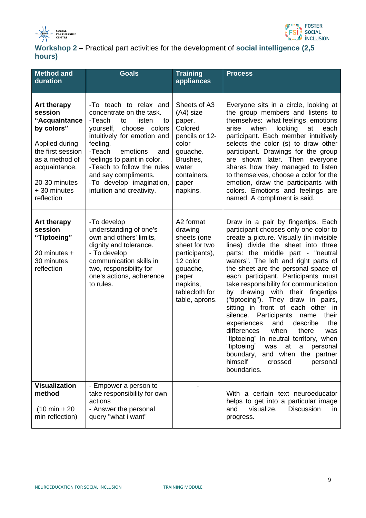



| Workshop 2 – Practical part activities for the development of social intelligence (2,5 |  |
|----------------------------------------------------------------------------------------|--|
| hours)                                                                                 |  |

| <b>Method and</b><br>duration                                                                                                                                                         | <b>Goals</b>                                                                                                                                                                                                                                                                                                                           | <b>Training</b><br>appliances                                                                                                                           | <b>Process</b>                                                                                                                                                                                                                                                                                                                                                                                                                                                                                                                                                                                                                                                                                                                                                                                        |
|---------------------------------------------------------------------------------------------------------------------------------------------------------------------------------------|----------------------------------------------------------------------------------------------------------------------------------------------------------------------------------------------------------------------------------------------------------------------------------------------------------------------------------------|---------------------------------------------------------------------------------------------------------------------------------------------------------|-------------------------------------------------------------------------------------------------------------------------------------------------------------------------------------------------------------------------------------------------------------------------------------------------------------------------------------------------------------------------------------------------------------------------------------------------------------------------------------------------------------------------------------------------------------------------------------------------------------------------------------------------------------------------------------------------------------------------------------------------------------------------------------------------------|
| <b>Art therapy</b><br>session<br>"Acquaintance<br>by colors"<br>Applied during<br>the first session<br>as a method of<br>acquaintance.<br>20-30 minutes<br>+ 30 minutes<br>reflection | -To teach to relax and<br>concentrate on the task.<br>-Teach<br>listen<br>to<br>to<br>choose colors<br>yourself,<br>intuitively for emotion and<br>feeling.<br>-Teach<br>emotions<br>and<br>feelings to paint in color.<br>-Teach to follow the rules<br>and say compliments.<br>-To develop imagination,<br>intuition and creativity. | Sheets of A3<br>(A4) size<br>paper.<br>Colored<br>pencils or 12-<br>color<br>gouache.<br>Brushes,<br>water<br>containers,<br>paper<br>napkins.          | Everyone sits in a circle, looking at<br>the group members and listens to<br>themselves: what feelings, emotions<br>looking<br>arise<br>when<br>at<br>each<br>participant. Each member intuitively<br>selects the color (s) to draw other<br>participant. Drawings for the group<br>are shown later. Then everyone<br>shares how they managed to listen<br>to themselves, choose a color for the<br>emotion, draw the participants with<br>colors. Emotions and feelings are<br>named. A compliment is said.                                                                                                                                                                                                                                                                                          |
| <b>Art therapy</b><br>session<br>"Tiptoeing"<br>20 minutes +<br>30 minutes<br>reflection                                                                                              | -To develop<br>understanding of one's<br>own and others' limits,<br>dignity and tolerance.<br>- To develop<br>communication skills in<br>two, responsibility for<br>one's actions, adherence<br>to rules.                                                                                                                              | A2 format<br>drawing<br>sheets (one<br>sheet for two<br>participants),<br>12 color<br>gouache,<br>paper<br>napkins,<br>tablecloth for<br>table, aprons. | Draw in a pair by fingertips. Each<br>participant chooses only one color to<br>create a picture. Visually (in invisible<br>lines) divide the sheet into three<br>parts: the middle part - "neutral<br>waters". The left and right parts of<br>the sheet are the personal space of<br>each participant. Participants must<br>take responsibility for communication<br>by drawing with their fingertips<br>("tiptoeing"). They draw<br>in pairs,<br>sitting in front of each other in<br>Participants<br>silence.<br>their<br>name<br>the<br>experiences<br>and<br>describe<br>differences<br>when<br>there<br>was<br>"tiptoeing" in neutral territory, when<br>"tiptoeing"<br>was at<br>personal<br>$\mathsf{a}$<br>boundary,<br>and when the partner<br>himself<br>personal<br>crossed<br>boundaries. |
| <b>Visualization</b><br>method<br>$(10 \text{ min} + 20)$<br>min reflection)                                                                                                          | - Empower a person to<br>take responsibility for own<br>actions<br>- Answer the personal<br>query "what i want"                                                                                                                                                                                                                        |                                                                                                                                                         | With a certain text neuroeducator<br>helps to get into a particular image<br>visualize.<br><b>Discussion</b><br>and<br>in.<br>progress.                                                                                                                                                                                                                                                                                                                                                                                                                                                                                                                                                                                                                                                               |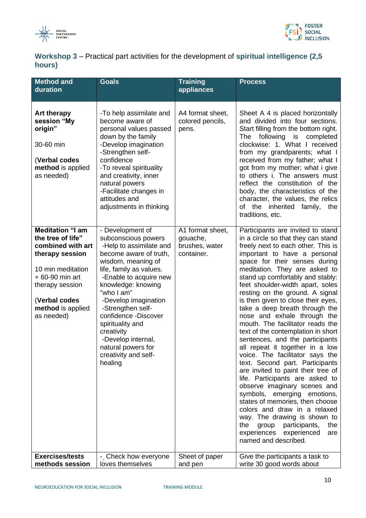



| Workshop 3 – Practical part activities for the development of spiritual intelligence (2,5 |  |
|-------------------------------------------------------------------------------------------|--|
| hours)                                                                                    |  |

| <b>Method and</b><br>duration                                                                                                                                                                        | <b>Goals</b>                                                                                                                                                                                                                                                                                                                                                                                      | <b>Training</b><br>appliances                                | <b>Process</b>                                                                                                                                                                                                                                                                                                                                                                                                                                                                                                                                                                                                                                                                                                                                                                                                                                                                                                                                                                                          |
|------------------------------------------------------------------------------------------------------------------------------------------------------------------------------------------------------|---------------------------------------------------------------------------------------------------------------------------------------------------------------------------------------------------------------------------------------------------------------------------------------------------------------------------------------------------------------------------------------------------|--------------------------------------------------------------|---------------------------------------------------------------------------------------------------------------------------------------------------------------------------------------------------------------------------------------------------------------------------------------------------------------------------------------------------------------------------------------------------------------------------------------------------------------------------------------------------------------------------------------------------------------------------------------------------------------------------------------------------------------------------------------------------------------------------------------------------------------------------------------------------------------------------------------------------------------------------------------------------------------------------------------------------------------------------------------------------------|
|                                                                                                                                                                                                      |                                                                                                                                                                                                                                                                                                                                                                                                   |                                                              |                                                                                                                                                                                                                                                                                                                                                                                                                                                                                                                                                                                                                                                                                                                                                                                                                                                                                                                                                                                                         |
| <b>Art therapy</b><br>session "My<br>origin"<br>30-60 min<br>(Verbal codes<br>method is applied<br>as needed)                                                                                        | -To help assimilate and<br>become aware of<br>personal values passed<br>down by the family<br>-Develop imagination<br>-Strengthen self-<br>confidence<br>-To reveal spirituality<br>and creativity, inner<br>natural powers<br>-Facilitate changes in<br>attitudes and<br>adjustments in thinking                                                                                                 | A4 format sheet,<br>colored pencils,<br>pens.                | Sheet A 4 is placed horizontally<br>and divided into four sections.<br>Start filling from the bottom right.<br>The<br>following<br>is<br>completed<br>clockwise: 1. What I received<br>from my grandparents; what I<br>received from my father; what I<br>got from my mother; what i give<br>to others i. The answers must<br>reflect the constitution of the<br>body, the characteristics of the<br>character, the values, the relics<br>of the inherited family,<br>the<br>traditions, etc.                                                                                                                                                                                                                                                                                                                                                                                                                                                                                                           |
| <b>Meditation "I am</b><br>the tree of life"<br>combined with art<br>therapy session<br>10 min meditation<br>$+60-90$ min art<br>therapy session<br>(Verbal codes<br>method is applied<br>as needed) | - Development of<br>subconscious powers<br>-Help to assimilate and<br>become aware of truth,<br>wisdom, meaning of<br>life, family as values.<br>-Enable to acquire new<br>knowledge: knowing<br>"who I am"<br>-Develop imagination<br>-Strengthen self-<br>confidence -Discover<br>spirituality and<br>creativity<br>-Develop internal,<br>natural powers for<br>creativity and self-<br>healing | A1 format sheet,<br>gouache,<br>brushes, water<br>container. | Participants are invited to stand<br>in a circle so that they can stand<br>freely next to each other. This is<br>important to have a personal<br>space for their senses during<br>meditation. They are asked to<br>stand up comfortably and stably:<br>feet shoulder-width apart, soles<br>resting on the ground. A signal<br>is then given to close their eyes,<br>take a deep breath through the<br>nose and exhale through the<br>mouth. The facilitator reads the<br>text of the contemplation in short<br>sentences, and the participants<br>all repeat it together in a low<br>voice. The facilitator says the<br>text. Second part. Participants<br>are invited to paint their tree of<br>life. Participants are asked to<br>observe imaginary scenes and<br>symbols, emerging emotions,<br>states of memories, then choose<br>colors and draw in a relaxed<br>way. The drawing is shown to<br>participants,<br>the<br>the<br>group<br>experiences<br>experienced<br>are<br>named and described. |
| <b>Exercises/tests</b>                                                                                                                                                                               | - Check how everyone                                                                                                                                                                                                                                                                                                                                                                              | Sheet of paper                                               | Give the participants a task to                                                                                                                                                                                                                                                                                                                                                                                                                                                                                                                                                                                                                                                                                                                                                                                                                                                                                                                                                                         |
| methods session                                                                                                                                                                                      | loves themselves                                                                                                                                                                                                                                                                                                                                                                                  | and pen                                                      | write 30 good words about                                                                                                                                                                                                                                                                                                                                                                                                                                                                                                                                                                                                                                                                                                                                                                                                                                                                                                                                                                               |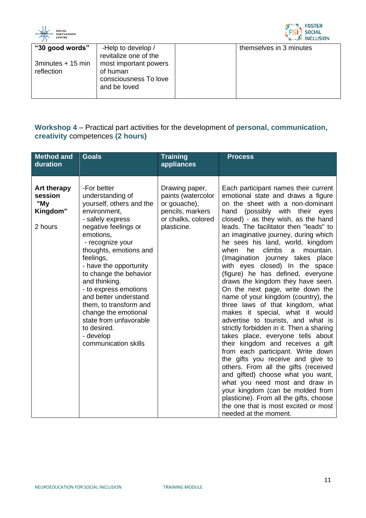



| "30 good words"<br>3minutes + 15 min<br>reflection | -Help to develop /<br>revitalize one of the<br>most important powers<br>of human<br>consciousness To love<br>and be loved |  | themselves in 3 minutes |
|----------------------------------------------------|---------------------------------------------------------------------------------------------------------------------------|--|-------------------------|
|----------------------------------------------------|---------------------------------------------------------------------------------------------------------------------------|--|-------------------------|

#### **Workshop 4** – Practical part activities for the development of **personal, communication, creativity** competences **(2 hours)**

| <b>Method and</b><br>duration                               | <b>Goals</b>                                                                                                                                                                                                                                                                                                                                                                                                                                           | <b>Training</b><br>appliances                                                                                 | <b>Process</b>                                                                                                                                                                                                                                                                                                                                                                                                                                                                                                                                                                                                                                                                                                                                                                                                                                                                                                                                                                                                                                                                                                                                                       |
|-------------------------------------------------------------|--------------------------------------------------------------------------------------------------------------------------------------------------------------------------------------------------------------------------------------------------------------------------------------------------------------------------------------------------------------------------------------------------------------------------------------------------------|---------------------------------------------------------------------------------------------------------------|----------------------------------------------------------------------------------------------------------------------------------------------------------------------------------------------------------------------------------------------------------------------------------------------------------------------------------------------------------------------------------------------------------------------------------------------------------------------------------------------------------------------------------------------------------------------------------------------------------------------------------------------------------------------------------------------------------------------------------------------------------------------------------------------------------------------------------------------------------------------------------------------------------------------------------------------------------------------------------------------------------------------------------------------------------------------------------------------------------------------------------------------------------------------|
| <b>Art therapy</b><br>session<br>"My<br>Kingdom"<br>2 hours | -For better<br>understanding of<br>yourself, others and the<br>environment,<br>- safely express<br>negative feelings or<br>emotions.<br>- recognize your<br>thoughts, emotions and<br>feelings,<br>- have the opportunity<br>to change the behavior<br>and thinking.<br>- to express emotions<br>and better understand<br>them, to transform and<br>change the emotional<br>state from unfavorable<br>to desired.<br>- develop<br>communication skills | Drawing paper,<br>paints (watercolor<br>or gouache),<br>pencils, markers<br>or chalks, colored<br>plasticine. | Each participant names their current<br>emotional state and draws a figure<br>on the sheet with a non-dominant<br>(possibly with their<br>hand<br>eyes<br>closed) - as they wish, as the hand<br>leads. The facilitator then "leads" to<br>an imaginative journey, during which<br>he sees his land, world, kingdom<br>when<br>he<br>climbs<br>mountain.<br>a<br>(Imagination journey takes place<br>with eyes closed) In the space<br>(figure) he has defined, everyone<br>draws the kingdom they have seen.<br>On the next page, write down the<br>name of your kingdom (country), the<br>three laws of that kingdom, what<br>makes it special, what it would<br>advertise to tourists, and what is<br>strictly forbidden in it. Then a sharing<br>takes place, everyone tells about<br>their kingdom and receives a gift<br>from each participant. Write down<br>the gifts you receive and give to<br>others. From all the gifts (received<br>and gifted) choose what you want,<br>what you need most and draw in<br>your kingdom (can be molded from<br>plasticine). From all the gifts, choose<br>the one that is most excited or most<br>needed at the moment. |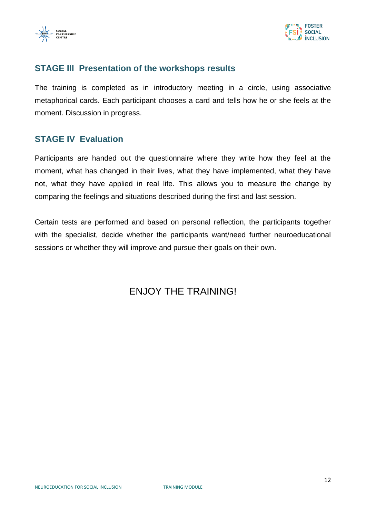



#### **STAGE III Presentation of the workshops results**

The training is completed as in introductory meeting in a circle, using associative metaphorical cards. Each participant chooses a card and tells how he or she feels at the moment. Discussion in progress.

#### **STAGE IV Evaluation**

Participants are handed out the questionnaire where they write how they feel at the moment, what has changed in their lives, what they have implemented, what they have not, what they have applied in real life. This allows you to measure the change by comparing the feelings and situations described during the first and last session.

Certain tests are performed and based on personal reflection, the participants together with the specialist, decide whether the participants want/need further neuroeducational sessions or whether they will improve and pursue their goals on their own.

## ENJOY THE TRAINING!